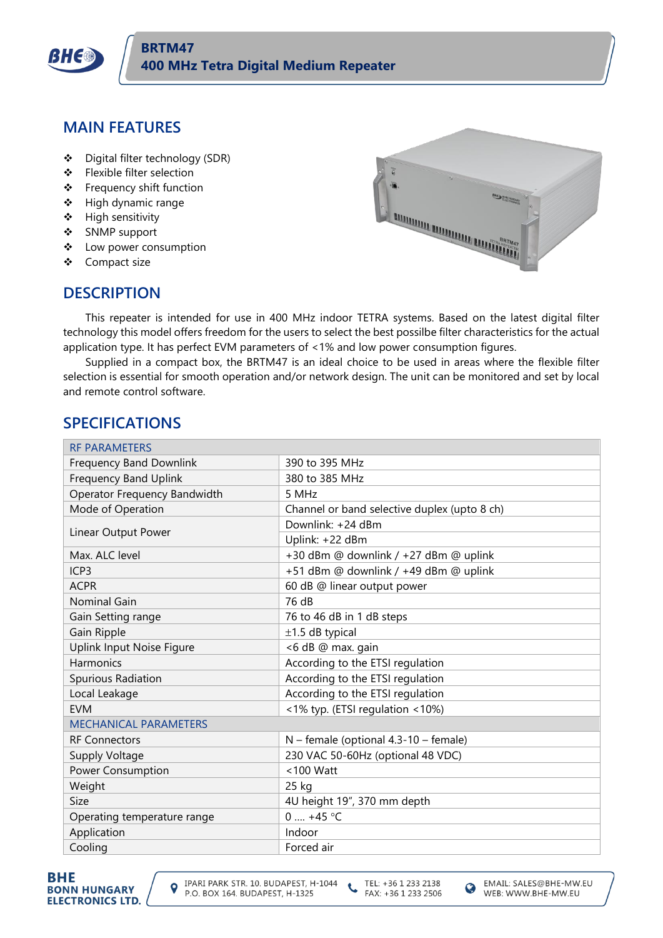

### **MAIN FEATURES**

- ❖ Digital filter technology (SDR)
- ❖ Flexible filter selection
- ❖ Frequency shift function
- ❖ High dynamic range
- ❖ High sensitivity
- ❖ SNMP support
- ❖ Low power consumption
- ❖ Compact size



#### **DESCRIPTION**

This repeater is intended for use in 400 MHz indoor TETRA systems. Based on the latest digital filter technology this model offers freedom for the users to select the best possilbe filter characteristics for the actual application type. It has perfect EVM parameters of <1% and low power consumption figures.

Supplied in a compact box, the BRTM47 is an ideal choice to be used in areas where the flexible filter selection is essential for smooth operation and/or network design. The unit can be monitored and set by local and remote control software.

## **SPECIFICATIONS**

| <b>RF PARAMETERS</b>           |                                              |  |
|--------------------------------|----------------------------------------------|--|
| <b>Frequency Band Downlink</b> | 390 to 395 MHz                               |  |
| <b>Frequency Band Uplink</b>   | 380 to 385 MHz                               |  |
| Operator Frequency Bandwidth   | 5 MHz                                        |  |
| Mode of Operation              | Channel or band selective duplex (upto 8 ch) |  |
| Linear Output Power            | Downlink: +24 dBm                            |  |
|                                | Uplink: +22 dBm                              |  |
| Max. ALC level                 | +30 dBm @ downlink / +27 dBm @ uplink        |  |
| ICP <sub>3</sub>               | +51 dBm @ downlink / +49 dBm @ uplink        |  |
| <b>ACPR</b>                    | 60 dB @ linear output power                  |  |
| <b>Nominal Gain</b>            | 76 dB                                        |  |
| Gain Setting range             | 76 to 46 dB in 1 dB steps                    |  |
| Gain Ripple                    | $±1.5$ dB typical                            |  |
| Uplink Input Noise Figure      | <6 dB @ max. gain                            |  |
| <b>Harmonics</b>               | According to the ETSI regulation             |  |
| Spurious Radiation             | According to the ETSI regulation             |  |
| Local Leakage                  | According to the ETSI regulation             |  |
| <b>FVM</b>                     | <1% typ. (ETSI regulation <10%)              |  |
| <b>MECHANICAL PARAMETERS</b>   |                                              |  |
| <b>RF Connectors</b>           | $N$ – female (optional 4.3-10 – female)      |  |
| Supply Voltage                 | 230 VAC 50-60Hz (optional 48 VDC)            |  |
| Power Consumption              | $< 100$ Watt                                 |  |
| Weight                         | 25 kg                                        |  |
| Size                           | 4U height 19", 370 mm depth                  |  |
| Operating temperature range    | $0 \dots +45$ °C                             |  |
| Application                    | Indoor                                       |  |
| Cooling                        | Forced air                                   |  |



TEL: +36 1 233 2138  $\epsilon$ FAX: +36 1 233 2506